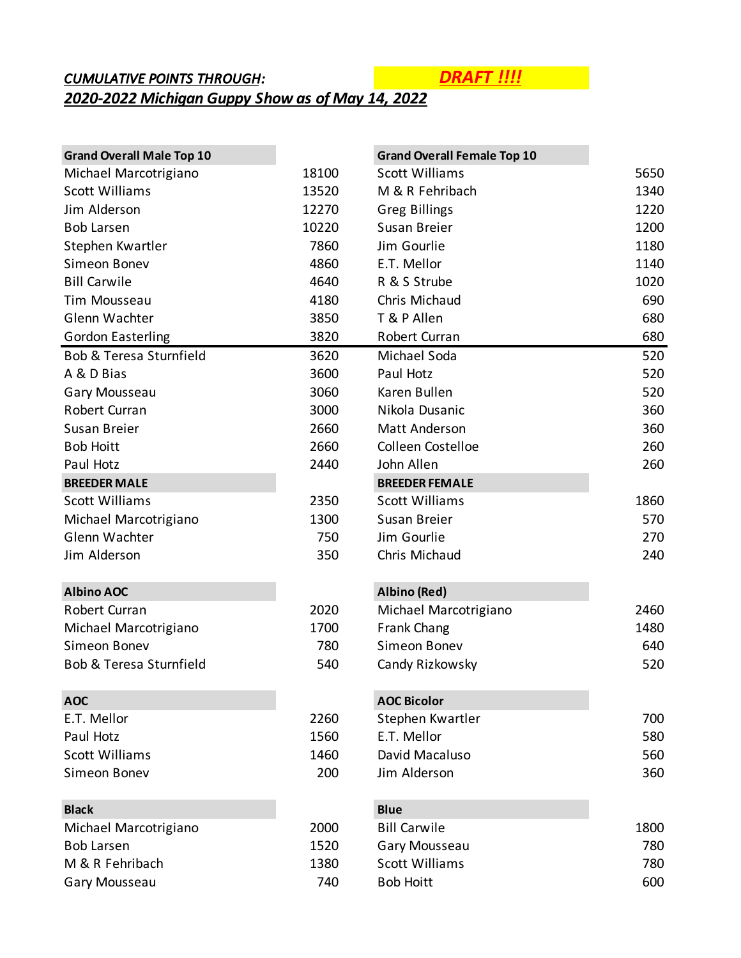## *CUMULATIVE POINTS THROUGH: DRAFT !!!! 2020-2022 Michigan Guppy Show as of May 14, 2022*

| <b>Grand Overall Male Top 10</b> |       | <b>Grand Overall Female Top 10</b> |      |
|----------------------------------|-------|------------------------------------|------|
| Michael Marcotrigiano            | 18100 | <b>Scott Williams</b>              | 5650 |
| <b>Scott Williams</b>            | 13520 | M & R Fehribach                    | 1340 |
| Jim Alderson                     | 12270 | <b>Greg Billings</b>               | 1220 |
| <b>Bob Larsen</b>                | 10220 | Susan Breier                       | 1200 |
| Stephen Kwartler                 | 7860  | Jim Gourlie                        | 1180 |
| Simeon Bonev                     | 4860  | E.T. Mellor                        | 1140 |
| <b>Bill Carwile</b>              | 4640  | R & S Strube                       | 1020 |
| <b>Tim Mousseau</b>              | 4180  | Chris Michaud                      | 690  |
| Glenn Wachter                    | 3850  | T & P Allen                        | 680  |
| <b>Gordon Easterling</b>         | 3820  | Robert Curran                      | 680  |
| Bob & Teresa Sturnfield          | 3620  | Michael Soda                       | 520  |
| A & D Bias                       | 3600  | Paul Hotz                          | 520  |
| Gary Mousseau                    | 3060  | Karen Bullen                       | 520  |
| Robert Curran                    | 3000  | Nikola Dusanic                     | 360  |
| Susan Breier                     | 2660  | Matt Anderson                      | 360  |
| <b>Bob Hoitt</b>                 | 2660  | Colleen Costelloe                  | 260  |
| Paul Hotz                        | 2440  | John Allen                         | 260  |
| <b>BREEDER MALE</b>              |       | <b>BREEDER FEMALE</b>              |      |
| <b>Scott Williams</b>            | 2350  | <b>Scott Williams</b>              | 1860 |
| Michael Marcotrigiano            | 1300  | Susan Breier                       | 570  |
| Glenn Wachter                    | 750   | Jim Gourlie                        | 270  |
| Jim Alderson                     | 350   | Chris Michaud                      | 240  |
| <b>Albino AOC</b>                |       | Albino (Red)                       |      |
| Robert Curran                    | 2020  | Michael Marcotrigiano              | 2460 |
| Michael Marcotrigiano            | 1700  | Frank Chang                        | 1480 |
| Simeon Bonev                     | 780   | Simeon Bonev                       | 640  |
| Bob & Teresa Sturnfield          | 540   | Candy Rizkowsky                    | 520  |
| <b>AOC</b>                       |       | <b>AOC Bicolor</b>                 |      |
| E.T. Mellor                      | 2260  | Stephen Kwartler                   | 700  |
| Paul Hotz                        | 1560  | E.T. Mellor                        | 580  |
| <b>Scott Williams</b>            | 1460  | David Macaluso                     | 560  |
| Simeon Bonev                     | 200   | Jim Alderson                       | 360  |
| <b>Black</b>                     |       | <b>Blue</b>                        |      |
| Michael Marcotrigiano            | 2000  | <b>Bill Carwile</b>                | 1800 |
| <b>Bob Larsen</b>                | 1520  | Gary Mousseau                      | 780  |
| M & R Fehribach                  | 1380  | <b>Scott Williams</b>              | 780  |
| Gary Mousseau                    | 740   | <b>Bob Hoitt</b>                   | 600  |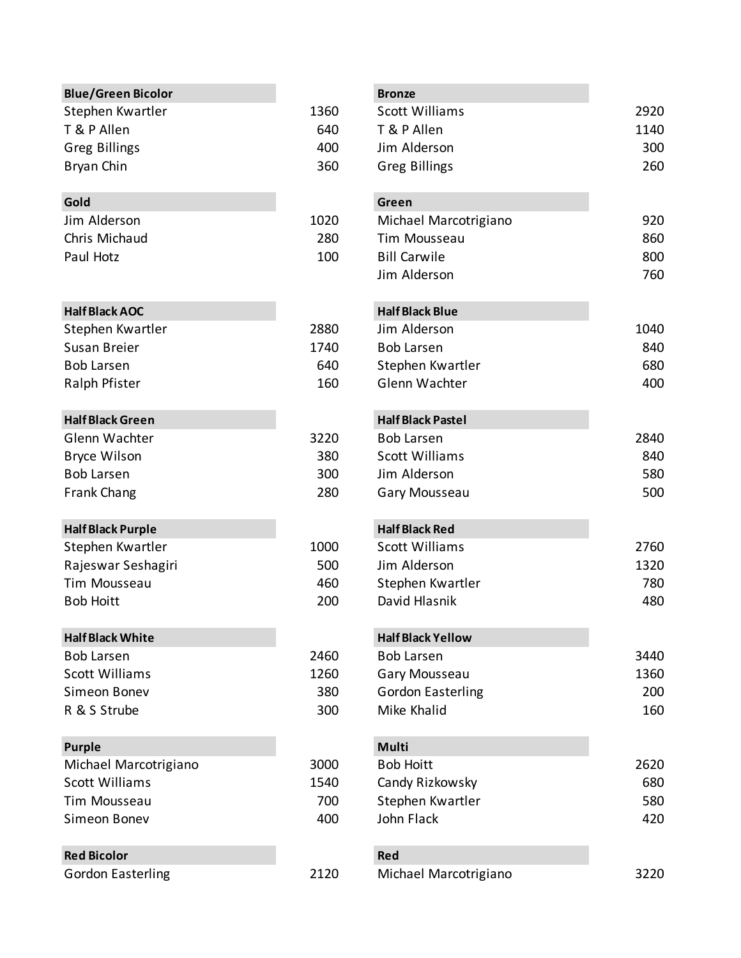| <b>Blue/Green Bicolor</b> |      | <b>Bronze</b>   |
|---------------------------|------|-----------------|
| Stephen Kwartler          | 1360 | Scott \         |
| T & P Allen               | 640  | $T$ &P $\prime$ |
| <b>Greg Billings</b>      | 400  | Jim Al          |
| Bryan Chin                | 360  | Greg E          |
|                           |      |                 |

| Jim Alderson  | 1020 |
|---------------|------|
| Chris Michaud | 280  |
| Paul Hotz     | 100  |

### **Half Black AOC Half Black Blue**

| Stephen Kwartler  | 2880 |
|-------------------|------|
| Susan Breier      | 1740 |
| <b>Bob Larsen</b> | 640  |
| Ralph Pfister     | 160  |

# **Half Black Green Half Black Green** Glenn Wachter 3220 B<br>Box Larsen 2840 Book

| Bryce Wilson      | 380 |
|-------------------|-----|
| <b>Bob Larsen</b> | 300 |
| Frank Chang       | 280 |

## **Half Black Purple Half Black Red**

| Stephen Kwartler   | 1000 |
|--------------------|------|
| Rajeswar Seshagiri | 500. |
| Tim Mousseau       | 460  |
| <b>Bob Hoitt</b>   | 200  |

## **Half Black White Half Black White**

| <b>Bob Larsen</b> | 2460 |
|-------------------|------|
| Scott Williams    | 1260 |
| Simeon Boney      | 380  |
| R & S Strube      | 30C  |

## **Purple Multiple Multiple Multiple Multiple Multiple Multiple Multiple**

| Michael Marcotrigiano | 3000 |
|-----------------------|------|
| Scott Williams        | 1540 |
| Tim Mousseau          | 700  |
| Simeon Boney          | 400  |
|                       |      |

# **Red Bicolor Red**

| Gordon Easterling |  |
|-------------------|--|
|                   |  |

| Blue/Green Bicolor       |      | <b>Bronze</b>            |      |
|--------------------------|------|--------------------------|------|
| Stephen Kwartler         | 1360 | <b>Scott Williams</b>    | 2920 |
| T & P Allen              | 640  | T & P Allen              | 1140 |
| <b>Greg Billings</b>     | 400  | Jim Alderson             | 300  |
| Bryan Chin               | 360  | <b>Greg Billings</b>     | 260  |
| Gold                     |      | Green                    |      |
| Jim Alderson             | 1020 | Michael Marcotrigiano    | 920  |
| Chris Michaud            | 280  | Tim Mousseau             | 860  |
| Paul Hotz                | 100  | <b>Bill Carwile</b>      | 800  |
|                          |      | Jim Alderson             | 760  |
| <b>Half Black AOC</b>    |      | <b>Half Black Blue</b>   |      |
| Stephen Kwartler         | 2880 | Jim Alderson             | 1040 |
| Susan Breier             | 1740 | <b>Bob Larsen</b>        | 840  |
| <b>Bob Larsen</b>        | 640  | Stephen Kwartler         | 680  |
| Ralph Pfister            | 160  | Glenn Wachter            | 400  |
| <b>Half Black Green</b>  |      | <b>Half Black Pastel</b> |      |
| Glenn Wachter            | 3220 | <b>Bob Larsen</b>        | 2840 |
| <b>Bryce Wilson</b>      | 380  | <b>Scott Williams</b>    | 840  |
| <b>Bob Larsen</b>        | 300  | Jim Alderson             | 580  |
| <b>Frank Chang</b>       | 280  | Gary Mousseau            | 500  |
| <b>Half Black Purple</b> |      | <b>Half Black Red</b>    |      |
| Stephen Kwartler         | 1000 | <b>Scott Williams</b>    | 2760 |
| Rajeswar Seshagiri       | 500  | Jim Alderson             | 1320 |
| Tim Mousseau             | 460  | Stephen Kwartler         | 780  |
| <b>Bob Hoitt</b>         | 200  | David Hlasnik            | 480  |
| <b>Half Black White</b>  |      | <b>Half Black Yellow</b> |      |
| <b>Bob Larsen</b>        | 2460 | <b>Bob Larsen</b>        | 3440 |
| <b>Scott Williams</b>    | 1260 | Gary Mousseau            | 1360 |
| Simeon Bonev             | 380  | <b>Gordon Easterling</b> | 200  |
| R & S Strube             | 300  | Mike Khalid              | 160  |
| <b>Purple</b>            |      | <b>Multi</b>             |      |
| Michael Marcotrigiano    | 3000 | <b>Bob Hoitt</b>         | 2620 |
| <b>Scott Williams</b>    | 1540 | Candy Rizkowsky          | 680  |
| Tim Mousseau             | 700  | Stephen Kwartler         | 580  |
| Simeon Bonev             | 400  | John Flack               | 420  |
| <b>Red Bicolor</b>       |      | <b>Red</b>               |      |
| <b>Gordon Easterling</b> | 2120 | Michael Marcotrigiano    | 3220 |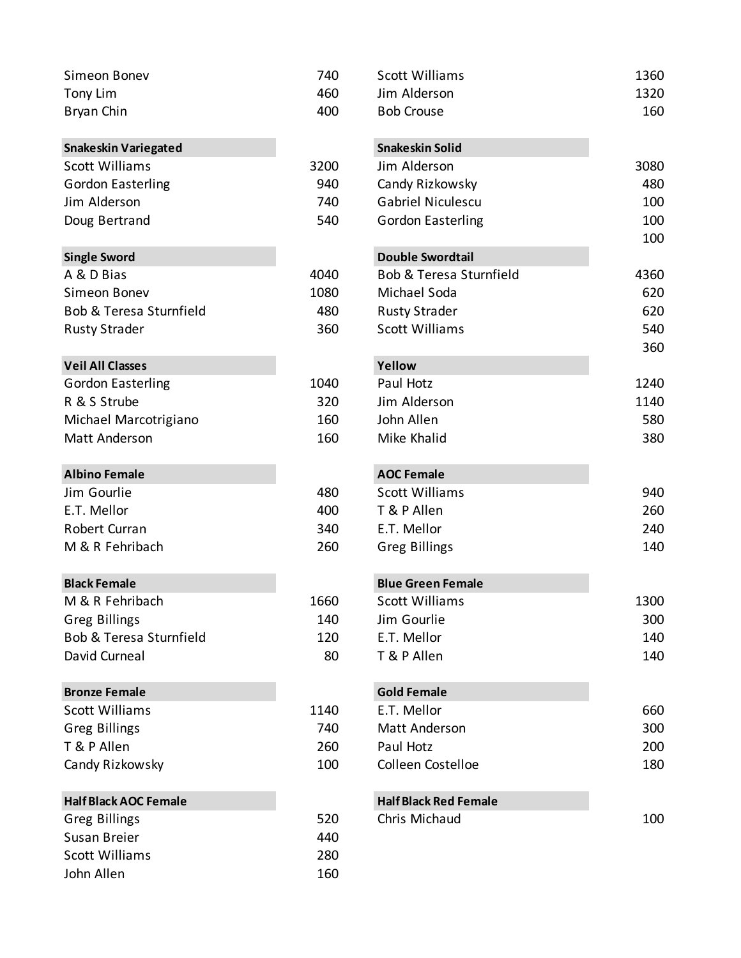| Simeon Bonev                 | 740  | <b>Scott Williams</b>        | 1360 |
|------------------------------|------|------------------------------|------|
| Tony Lim                     | 460  | Jim Alderson                 | 1320 |
| Bryan Chin                   | 400  | <b>Bob Crouse</b>            | 160  |
| <b>Snakeskin Variegated</b>  |      | <b>Snakeskin Solid</b>       |      |
| <b>Scott Williams</b>        | 3200 | Jim Alderson                 | 3080 |
| <b>Gordon Easterling</b>     | 940  | Candy Rizkowsky              | 480  |
| Jim Alderson                 | 740  | <b>Gabriel Niculescu</b>     | 100  |
| Doug Bertrand                | 540  | <b>Gordon Easterling</b>     | 100  |
| <b>Single Sword</b>          |      | <b>Double Swordtail</b>      | 100  |
| A & D Bias                   | 4040 | Bob & Teresa Sturnfield      | 4360 |
| Simeon Bonev                 | 1080 | Michael Soda                 | 620  |
| Bob & Teresa Sturnfield      | 480  | <b>Rusty Strader</b>         | 620  |
| <b>Rusty Strader</b>         | 360  | <b>Scott Williams</b>        | 540  |
| <b>Veil All Classes</b>      |      | Yellow                       | 360  |
| <b>Gordon Easterling</b>     | 1040 | Paul Hotz                    | 1240 |
| R & S Strube                 | 320  | Jim Alderson                 | 1140 |
| Michael Marcotrigiano        | 160  | John Allen                   | 580  |
| Matt Anderson                | 160  | Mike Khalid                  | 380  |
| <b>Albino Female</b>         |      | <b>AOC Female</b>            |      |
| Jim Gourlie                  | 480  | <b>Scott Williams</b>        | 940  |
| E.T. Mellor                  | 400  | T & P Allen                  | 260  |
| Robert Curran                | 340  | E.T. Mellor                  | 240  |
| M & R Fehribach              | 260  | <b>Greg Billings</b>         | 140  |
| <b>Black Female</b>          |      | <b>Blue Green Female</b>     |      |
| M & R Fehribach              | 1660 | Scott Williams               | 1300 |
| <b>Greg Billings</b>         | 140  | Jim Gourlie                  | 300  |
| Bob & Teresa Sturnfield      | 120  | E.T. Mellor                  | 140  |
| David Curneal                | 80   | T & P Allen                  | 140  |
| <b>Bronze Female</b>         |      | <b>Gold Female</b>           |      |
| <b>Scott Williams</b>        | 1140 | E.T. Mellor                  | 660  |
| <b>Greg Billings</b>         | 740  | Matt Anderson                | 300  |
| T & P Allen                  | 260  | Paul Hotz                    | 200  |
| Candy Rizkowsky              | 100  | Colleen Costelloe            | 180  |
| <b>Half Black AOC Female</b> |      | <b>Half Black Red Female</b> |      |
| <b>Greg Billings</b>         | 520  | Chris Michaud                | 100  |
| Susan Breier                 | 440  |                              |      |
| <b>Scott Williams</b>        | 280  |                              |      |
| John Allen                   | 160  |                              |      |